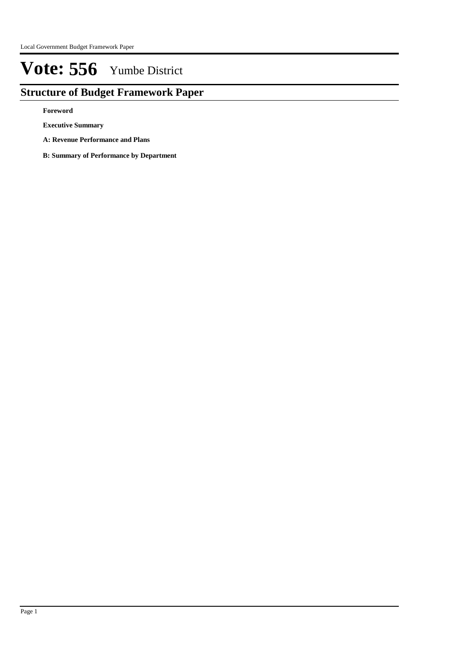## **Structure of Budget Framework Paper**

**Foreword**

**Executive Summary**

- **A: Revenue Performance and Plans**
- **B: Summary of Performance by Department**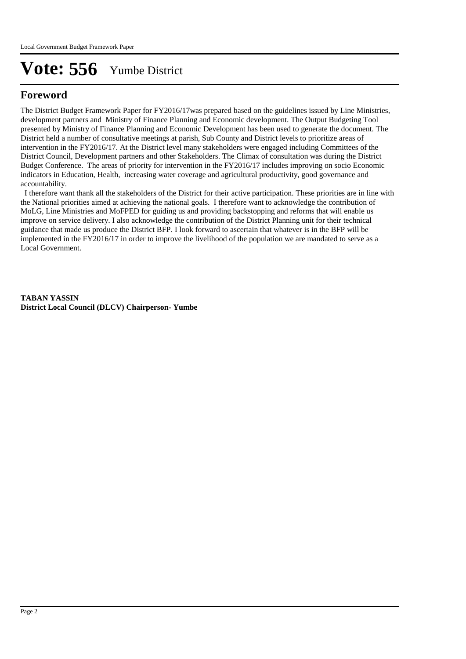## **Foreword**

The District Budget Framework Paper for FY2016/17was prepared based on the guidelines issued by Line Ministries, development partners and Ministry of Finance Planning and Economic development. The Output Budgeting Tool presented by Ministry of Finance Planning and Economic Development has been used to generate the document. The District held a number of consultative meetings at parish, Sub County and District levels to prioritize areas of intervention in the FY2016/17. At the District level many stakeholders were engaged including Committees of the District Council, Development partners and other Stakeholders. The Climax of consultation was during the District Budget Conference. The areas of priority for intervention in the FY2016/17 includes improving on socio Economic indicators in Education, Health, increasing water coverage and agricultural productivity, good governance and accountability.

 I therefore want thank all the stakeholders of the District for their active participation. These priorities are in line with the National priorities aimed at achieving the national goals. I therefore want to acknowledge the contribution of MoLG, Line Ministries and MoFPED for guiding us and providing backstopping and reforms that will enable us improve on service delivery. I also acknowledge the contribution of the District Planning unit for their technical guidance that made us produce the District BFP. I look forward to ascertain that whatever is in the BFP will be implemented in the FY2016/17 in order to improve the livelihood of the population we are mandated to serve as a Local Government.

**TABAN YASSIN District Local Council (DLCV) Chairperson- Yumbe**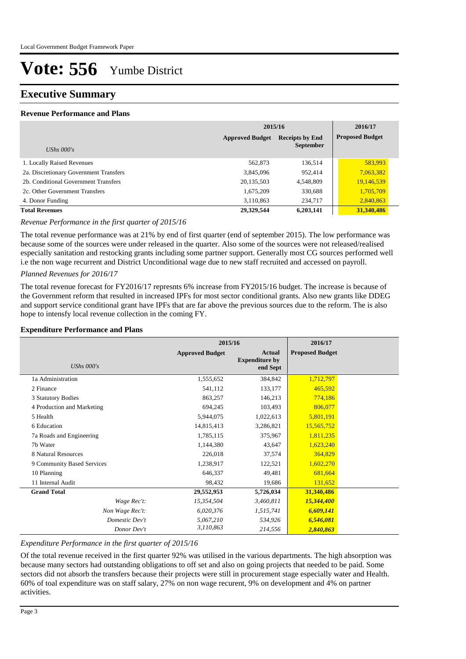### **Executive Summary**

#### **Revenue Performance and Plans**

|                                        | 2015/16                                          | 2016/17          |                        |
|----------------------------------------|--------------------------------------------------|------------------|------------------------|
|                                        | <b>Approved Budget</b><br><b>Receipts by End</b> |                  | <b>Proposed Budget</b> |
| UShs $000's$                           |                                                  | <b>September</b> |                        |
| 1. Locally Raised Revenues             | 562,873                                          | 136,514          | 583,993                |
| 2a. Discretionary Government Transfers | 3,845,096                                        | 952,414          | 7,063,382              |
| 2b. Conditional Government Transfers   | 20,135,503                                       | 4,548,809        | 19,146,539             |
| 2c. Other Government Transfers         | 1,675,209                                        | 330,688          | 1,705,709              |
| 4. Donor Funding                       | 3,110,863                                        | 234,717          | 2,840,863              |
| <b>Total Revenues</b>                  | 29,329,544                                       | 6,203,141        | 31,340,486             |

#### *Revenue Performance in the first quarter of 2015/16*

The total revenue performance was at 21% by end of first quarter (end of september 2015). The low performance was because some of the sources were under released in the quarter. Also some of the sources were not released/realised especially sanitation and restocking grants including some partner support. Generally most CG sources performed well i.e the non wage recurrent and District Unconditional wage due to new staff recruited and accessed on payroll.

#### *Planned Revenues for 2016/17*

The total revenue forecast for FY2016/17 represnts 6% increase from FY2015/16 budget. The increase is because of the Government reform that resulted in increased IPFs for most sector conditional grants. Also new grants like DDEG and support service conditional grant have IPFs that are far above the previous sources due to the reform. The is also hope to intensfy local revenue collection in the coming FY.

#### **Expenditure Performance and Plans**

|                            | 2015/16                |                                                    | 2016/17                |  |
|----------------------------|------------------------|----------------------------------------------------|------------------------|--|
| UShs $000's$               | <b>Approved Budget</b> | <b>Actual</b><br><b>Expenditure by</b><br>end Sept | <b>Proposed Budget</b> |  |
| 1a Administration          | 1,555,652              | 384,842                                            | 1,712,797              |  |
| 2 Finance                  | 541,112                | 133,177                                            | 465,592                |  |
| 3 Statutory Bodies         | 863,257                | 146,213                                            | 774,186                |  |
| 4 Production and Marketing | 694,245                | 103,493                                            | 806,077                |  |
| 5 Health                   | 5,944,075              | 1,022,613                                          | 5,801,191              |  |
| 6 Education                | 14,815,413             | 3,286,821                                          | 15,565,752             |  |
| 7a Roads and Engineering   | 1,785,115              | 375,967                                            | 1,811,235              |  |
| 7b Water                   | 1,144,380              | 43,647                                             | 1,623,240              |  |
| 8 Natural Resources        | 226,018                | 37,574                                             | 364,829                |  |
| 9 Community Based Services | 1,238,917              | 122,521                                            | 1,602,270              |  |
| 10 Planning                | 646,337                | 49,481                                             | 681,664                |  |
| 11 Internal Audit          | 98,432                 | 19,686                                             | 131,652                |  |
| <b>Grand Total</b>         | 29,552,953             | 5,726,034                                          | 31,340,486             |  |
| Wage Rec't:                | 15,354,504             | 3,460,811                                          | 15,344,400             |  |
| Non Wage Rec't:            | 6,020,376              | 1,515,741                                          | 6,609,141              |  |
| Domestic Dev't             | 5,067,210              | 534,926                                            | 6,546,081              |  |
| Donor Dev't                | 3,110,863              | 214,556                                            | 2,840,863              |  |

#### *Expenditure Performance in the first quarter of 2015/16*

Of the total revenue received in the first quarter 92% was utilised in the various departments. The high absorption was because many sectors had outstanding obligations to off set and also on going projects that needed to be paid. Some sectors did not absorb the transfers because their projects were still in procurement stage especially water and Health. 60% of toal expenditure was on staff salary, 27% on non wage recurent, 9% on development and 4% on partner activities.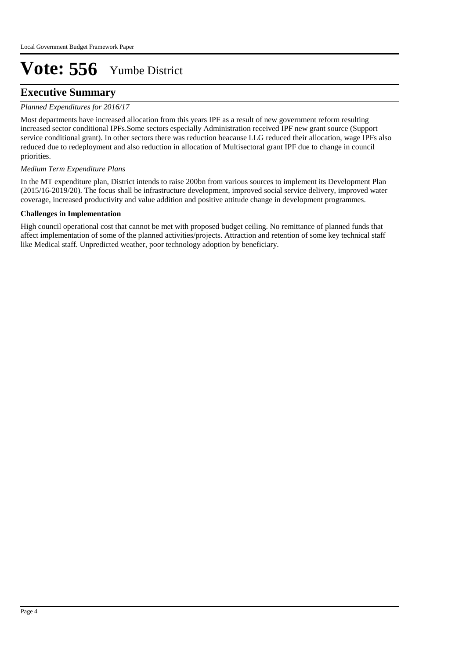### **Executive Summary**

#### *Planned Expenditures for 2016/17*

Most departments have increased allocation from this years IPF as a result of new government reform resulting increased sector conditional IPFs.Some sectors especially Administration received IPF new grant source (Support service conditional grant). In other sectors there was reduction beacause LLG reduced their allocation, wage IPFs also reduced due to redeployment and also reduction in allocation of Multisectoral grant IPF due to change in council priorities.

#### *Medium Term Expenditure Plans*

In the MT expenditure plan, District intends to raise 200bn from various sources to implement its Development Plan (2015/16-2019/20). The focus shall be infrastructure development, improved social service delivery, improved water coverage, increased productivity and value addition and positive attitude change in development programmes.

#### **Challenges in Implementation**

High council operational cost that cannot be met with proposed budget ceiling. No remittance of planned funds that affect implementation of some of the planned activities/projects. Attraction and retention of some key technical staff like Medical staff. Unpredicted weather, poor technology adoption by beneficiary.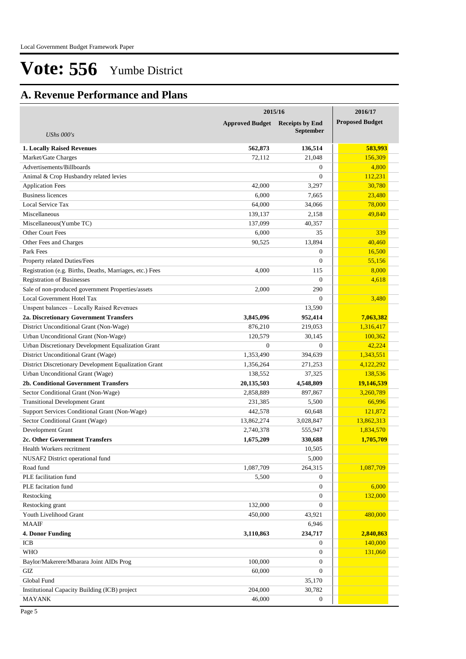## **A. Revenue Performance and Plans**

|                                                          | 2015/16                | 2016/17                |                        |
|----------------------------------------------------------|------------------------|------------------------|------------------------|
|                                                          | <b>Approved Budget</b> | <b>Receipts by End</b> | <b>Proposed Budget</b> |
| <b>UShs 000's</b>                                        |                        | <b>September</b>       |                        |
| <b>1. Locally Raised Revenues</b>                        | 562,873                | 136,514                | 583,993                |
| Market/Gate Charges                                      | 72,112                 | 21,048                 | 156,309                |
| Advertisements/Billboards                                |                        | $\overline{0}$         | 4,800                  |
| Animal & Crop Husbandry related levies                   |                        | $\Omega$               | 112,231                |
| <b>Application Fees</b>                                  | 42,000                 | 3,297                  | 30,780                 |
| <b>Business licences</b>                                 | 6,000                  | 7,665                  | 23,480                 |
| Local Service Tax                                        | 64,000                 | 34,066                 | 78,000                 |
| Miscellaneous                                            | 139,137                | 2,158                  | 49,840                 |
| Miscellaneous(Yumbe TC)                                  | 137,099                | 40,357                 |                        |
| <b>Other Court Fees</b>                                  | 6,000                  | 35                     | 339                    |
| Other Fees and Charges                                   | 90,525                 | 13,894                 | 40,460                 |
| Park Fees                                                |                        | $\overline{0}$         | 16,500                 |
| Property related Duties/Fees                             |                        | $\Omega$               | 55,156                 |
| Registration (e.g. Births, Deaths, Marriages, etc.) Fees | 4,000                  | 115                    | 8,000                  |
| <b>Registration of Businesses</b>                        |                        | $\Omega$               | 4,618                  |
| Sale of non-produced government Properties/assets        | 2,000                  | 290                    |                        |
| Local Government Hotel Tax                               |                        | $\Omega$               | 3,480                  |
| Unspent balances - Locally Raised Revenues               |                        | 13,590                 |                        |
| 2a. Discretionary Government Transfers                   | 3,845,096              | 952,414                | 7,063,382              |
| District Unconditional Grant (Non-Wage)                  | 876,210                | 219,053                | 1,316,417              |
| Urban Unconditional Grant (Non-Wage)                     | 120,579                | 30,145                 | 100,362                |
| Urban Discretionary Development Equalization Grant       | $\Omega$               | $\Omega$               | 42,224                 |
| District Unconditional Grant (Wage)                      | 1,353,490              | 394,639                | 1,343,551              |
| District Discretionary Development Equalization Grant    | 1,356,264              | 271,253                | 4,122,292              |
| Urban Unconditional Grant (Wage)                         | 138,552                | 37,325                 | 138,536                |
| 2b. Conditional Government Transfers                     | 20,135,503             | 4,548,809              | 19,146,539             |
| Sector Conditional Grant (Non-Wage)                      | 2,858,889              | 897,867                | 3,260,789              |
| <b>Transitional Development Grant</b>                    | 231,385                | 5,500                  | 66,996                 |
| Support Services Conditional Grant (Non-Wage)            | 442,578                | 60,648                 | 121,872                |
| Sector Conditional Grant (Wage)                          | 13,862,274             | 3,028,847              | 13,862,313             |
| Development Grant                                        | 2,740,378              | 555,947                | 1,834,570              |
| 2c. Other Government Transfers                           | 1,675,209              | 330,688                | 1,705,709              |
| Health Workers recritment                                |                        | 10,505                 |                        |
| NUSAF2 District operational fund                         |                        | 5,000                  |                        |
| Road fund                                                | 1,087,709              | 264,315                | 1,087,709              |
| PLE facilitation fund                                    | 5,500                  | $\boldsymbol{0}$       |                        |
| PLE facitation fund                                      |                        | $\boldsymbol{0}$       | 6,000                  |
| Restocking                                               |                        | $\overline{0}$         | 132,000                |
| Restocking grant                                         | 132,000                | $\overline{0}$         |                        |
| Youth Livelihood Grant                                   | 450,000                | 43,921                 | 480,000                |
| <b>MAAIF</b>                                             |                        | 6,946                  |                        |
| 4. Donor Funding                                         | 3,110,863              | 234,717                | 2,840,863              |
| ICB                                                      |                        | $\boldsymbol{0}$       | 140,000                |
| <b>WHO</b>                                               |                        | $\boldsymbol{0}$       | 131,060                |
| Baylor/Makerere/Mbarara Joint AIDs Prog                  | 100,000                | $\overline{0}$         |                        |
| GIZ                                                      | 60,000                 | $\boldsymbol{0}$       |                        |
| Global Fund                                              |                        | 35,170                 |                        |
|                                                          | 204,000                | 30,782                 |                        |
| Institutional Capacity Building (ICB) project            |                        |                        |                        |
| <b>MAYANK</b>                                            | 46,000                 | $\boldsymbol{0}$       |                        |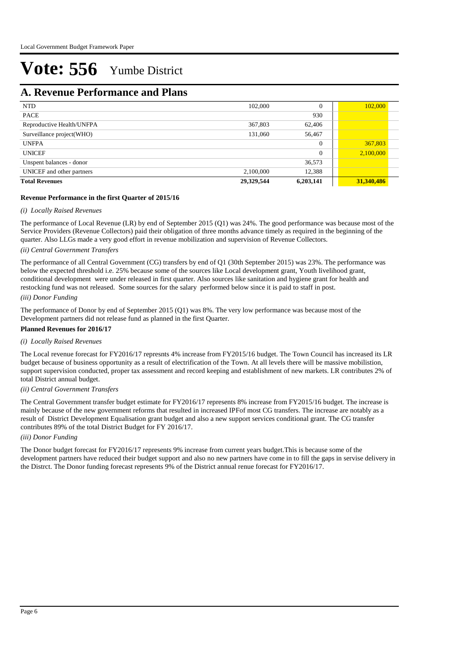### **A. Revenue Performance and Plans**

| <b>NTD</b>                | 102,000    | $\Omega$  | 102,000    |  |
|---------------------------|------------|-----------|------------|--|
| <b>PACE</b>               |            | 930       |            |  |
| Reproductive Health/UNFPA | 367,803    | 62,406    |            |  |
| Surveillance project(WHO) | 131,060    | 56,467    |            |  |
| <b>UNFPA</b>              |            | $\theta$  | 367,803    |  |
| <b>UNICEF</b>             |            | $\theta$  | 2,100,000  |  |
| Unspent balances - donor  |            | 36,573    |            |  |
| UNICEF and other partners | 2,100,000  | 12,388    |            |  |
| <b>Total Revenues</b>     | 29,329,544 | 6,203,141 | 31,340,486 |  |

#### **Revenue Performance in the first Quarter of 2015/16**

#### *(i) Locally Raised Revenues*

The performance of Local Revenue (LR) by end of September 2015 (Q1) was 24%. The good performance was because most of the Service Providers (Revenue Collectors) paid their obligation of three months advance timely as required in the beginning of the quarter. Also LLGs made a very good effort in revenue mobilization and supervision of Revenue Collectors.

#### *(ii) Central Government Transfers*

*(iii) Donor Funding* The performance of all Central Government (CG) transfers by end of Q1 (30th September 2015) was 23%. The performance was below the expected threshold i.e. 25% because some of the sources like Local development grant, Youth livelihood grant, conditional development were under released in first quarter. Also sources like sanitation and hygiene grant for health and restocking fund was not released. Some sources for the salary performed below since it is paid to staff in post.

The performance of Donor by end of September 2015 (Q1) was 8%. The very low performance was because most of the Development partners did not release fund as planned in the first Quarter.

### **Planned Revenues for 2016/17**

#### *(i) Locally Raised Revenues*

The Local revenue forecast for FY2016/17 represnts 4% increase from FY2015/16 budget. The Town Council has increased its LR budget because of business opportunity as a result of electrification of the Town. At all levels there will be massive mobilistion, support supervision conducted, proper tax assessment and record keeping and establishment of new markets. LR contributes 2% of total District annual budget.

#### *(ii) Central Government Transfers*

The Central Government transfer budget estimate for FY2016/17 represents 8% increase from FY2015/16 budget. The increase is mainly because of the new government reforms that resulted in increased IPFof most CG transfers. The increase are notably as a result of District Development Equalisation grant budget and also a new support services conditional grant. The CG transfer contributes 89% of the total District Budget for FY 2016/17.

#### *(iii) Donor Funding*

The Donor budget forecast for FY2016/17 represents 9% increase from current years budget.This is because some of the development partners have reduced their budget support and also no new partners have come in to fill the gaps in servise delivery in the Distrct. The Donor funding forecast represents 9% of the District annual renue forecast for FY2016/17.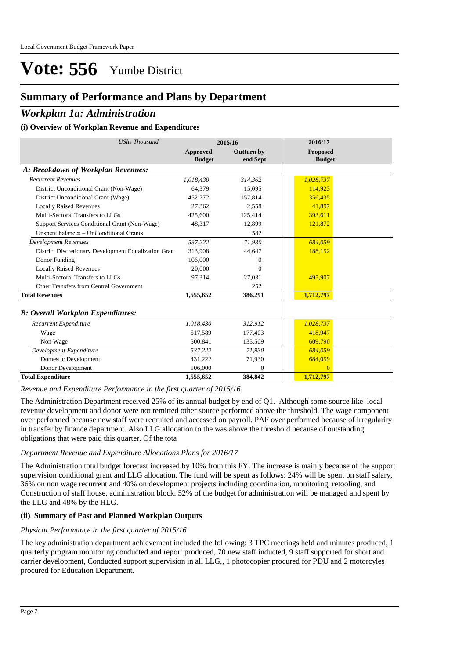## **Summary of Performance and Plans by Department**

### *Workplan 1a: Administration*

### **(i) Overview of Workplan Revenue and Expenditures**

| <b>UShs Thousand</b>                                 |                           | 2015/16                       | 2016/17                          |  |
|------------------------------------------------------|---------------------------|-------------------------------|----------------------------------|--|
|                                                      | Approved<br><b>Budget</b> | <b>Outturn by</b><br>end Sept | <b>Proposed</b><br><b>Budget</b> |  |
| A: Breakdown of Workplan Revenues:                   |                           |                               |                                  |  |
| <b>Recurrent Revenues</b>                            | 1,018,430                 | 314,362                       | 1,028,737                        |  |
| District Unconditional Grant (Non-Wage)              | 64,379                    | 15,095                        | 114,923                          |  |
| District Unconditional Grant (Wage)                  | 452,772                   | 157,814                       | 356,435                          |  |
| <b>Locally Raised Revenues</b>                       | 27.362                    | 2.558                         | 41.897                           |  |
| Multi-Sectoral Transfers to LLGs                     | 425,600                   | 125,414                       | 393,611                          |  |
| Support Services Conditional Grant (Non-Wage)        | 48,317                    | 12,899                        | 121,872                          |  |
| Unspent balances - UnConditional Grants              |                           | 582                           |                                  |  |
| <b>Development Revenues</b>                          | 537,222                   | 71,930                        | 684,059                          |  |
| District Discretionary Development Equalization Gran | 313,908                   | 44,647                        | 188,152                          |  |
| Donor Funding                                        | 106,000                   | $^{0}$                        |                                  |  |
| <b>Locally Raised Revenues</b>                       | 20,000                    | $\Omega$                      |                                  |  |
| Multi-Sectoral Transfers to LLGs                     | 97,314                    | 27,031                        | 495,907                          |  |
| Other Transfers from Central Government              |                           | 252                           |                                  |  |
| <b>Total Revenues</b>                                | 1,555,652                 | 386,291                       | 1,712,797                        |  |
| <b>B: Overall Workplan Expenditures:</b>             |                           |                               |                                  |  |
| Recurrent Expenditure                                | 1,018,430                 | 312,912                       | 1,028,737                        |  |
| Wage                                                 | 517,589                   | 177,403                       | 418,947                          |  |
| Non Wage                                             | 500.841                   | 135,509                       | 609,790                          |  |
| Development Expenditure                              | 537,222                   | 71,930                        | 684,059                          |  |
| Domestic Development                                 | 431,222                   | 71,930                        | 684,059                          |  |
| Donor Development                                    | 106,000                   | $\overline{0}$                | $\Omega$                         |  |
| <b>Total Expenditure</b>                             | 1,555,652                 | 384,842                       | 1,712,797                        |  |

*Revenue and Expenditure Performance in the first quarter of 2015/16*

The Administration Department received 25% of its annual budget by end of Q1. Although some source like local revenue development and donor were not remitted other source performed above the threshold. The wage component over performed because new staff were recruited and accessed on payroll. PAF over performed because of irregularity in transfer by finance department. Also LLG allocation to the was above the threshold because of outstanding obligations that were paid this quarter. Of the tota

#### *Department Revenue and Expenditure Allocations Plans for 2016/17*

The Administration total budget forecast increased by 10% from this FY. The increase is mainly because of the support supervision conditional grant and LLG allocation. The fund will be spent as follows: 24% will be spent on staff salary, 36% on non wage recurrent and 40% on development projects including coordination, monitoring, retooling, and Construction of staff house, administration block. 52% of the budget for administration will be managed and spent by the LLG and 48% by the HLG.

#### **(ii) Summary of Past and Planned Workplan Outputs**

#### *Physical Performance in the first quarter of 2015/16*

The key administration department achievement included the following: 3 TPC meetings held and minutes produced, 1 quarterly program monitoring conducted and report produced, 70 new staff inducted, 9 staff supported for short and carrier development, Conducted support supervision in all LLG,, 1 photocopier procured for PDU and 2 motorcyles procured for Education Department.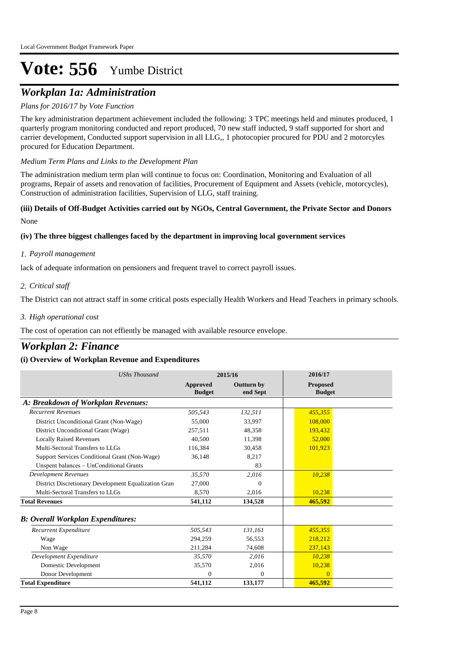## *Workplan 1a: Administration*

#### *Plans for 2016/17 by Vote Function*

The key administration department achievement included the following: 3 TPC meetings held and minutes produced, 1 quarterly program monitoring conducted and report produced, 70 new staff inducted, 9 staff supported for short and carrier development, Conducted support supervision in all LLG,, 1 photocopier procured for PDU and 2 motorcyles procured for Education Department.

#### *Medium Term Plans and Links to the Development Plan*

The administration medium term plan will continue to focus on: Coordination, Monitoring and Evaluation of all programs, Repair of assets and renovation of facilities, Procurement of Equipment and Assets (vehicle, motorcycles), Construction of administration facilities, Supervision of LLG, staff training.

#### None **(iii) Details of Off-Budget Activities carried out by NGOs, Central Government, the Private Sector and Donors**

#### **(iv) The three biggest challenges faced by the department in improving local government services**

#### *Payroll management 1.*

lack of adequate information on pensioners and frequent travel to correct payroll issues.

#### *Critical staff 2.*

The District can not attract staff in some critical posts especially Health Workers and Head Teachers in primary schools.

#### *High operational cost 3.*

The cost of operation can not effiently be managed with available resource envelope.

### *Workplan 2: Finance*

| <b>UShs Thousand</b>                                 | 2015/16                          |                               | 2016/17                          |
|------------------------------------------------------|----------------------------------|-------------------------------|----------------------------------|
|                                                      | <b>Approved</b><br><b>Budget</b> | <b>Outturn by</b><br>end Sept | <b>Proposed</b><br><b>Budget</b> |
| A: Breakdown of Workplan Revenues:                   |                                  |                               |                                  |
| <b>Recurrent Revenues</b>                            | 505,543                          | 132,511                       | 455,355                          |
| District Unconditional Grant (Non-Wage)              | 55,000                           | 33,997                        | 108,000                          |
| District Unconditional Grant (Wage)                  | 257,511                          | 48,358                        | 193,432                          |
| <b>Locally Raised Revenues</b>                       | 40,500                           | 11,398                        | 52,000                           |
| Multi-Sectoral Transfers to LLGs                     | 116,384                          | 30,458                        | 101,923                          |
| Support Services Conditional Grant (Non-Wage)        | 36,148                           | 8,217                         |                                  |
| Unspent balances - UnConditional Grants              |                                  | 83                            |                                  |
| <b>Development Revenues</b>                          | 35.570                           | 2,016                         | 10,238                           |
| District Discretionary Development Equalization Gran | 27,000                           | $\Omega$                      |                                  |
| Multi-Sectoral Transfers to LLGs                     | 8,570                            | 2,016                         | 10,238                           |
| <b>Total Revenues</b>                                | 541,112                          | 134,528                       | 465,592                          |
| <b>B: Overall Workplan Expenditures:</b>             |                                  |                               |                                  |
| Recurrent Expenditure                                | 505,543                          | 131,161                       | 455,355                          |
| Wage                                                 | 294,259                          | 56,553                        | 218.212                          |
| Non Wage                                             | 211,284                          | 74,608                        | 237,143                          |
| Development Expenditure                              | 35,570                           | 2.016                         | 10,238                           |
| Domestic Development                                 | 35,570                           | 2,016                         | 10,238                           |
| Donor Development                                    | 0                                | $\Omega$                      | $\Omega$                         |
| <b>Total Expenditure</b>                             | 541,112                          | 133,177                       | 465,592                          |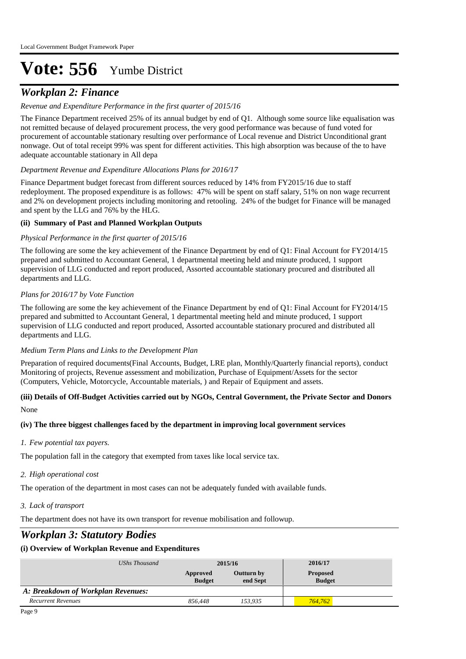## *Workplan 2: Finance*

#### *Revenue and Expenditure Performance in the first quarter of 2015/16*

The Finance Department received 25% of its annual budget by end of Q1. Although some source like equalisation was not remitted because of delayed procurement process, the very good performance was because of fund voted for procurement of accountable stationary resulting over performance of Local revenue and District Unconditional grant nonwage. Out of total receipt 99% was spent for different activities. This high absorption was because of the to have adequate accountable stationary in All depa

#### *Department Revenue and Expenditure Allocations Plans for 2016/17*

Finance Department budget forecast from different sources reduced by 14% from FY2015/16 due to staff redeployment. The proposed expenditure is as follows: 47% will be spent on staff salary, 51% on non wage recurrent and 2% on development projects including monitoring and retooling. 24% of the budget for Finance will be managed and spent by the LLG and 76% by the HLG.

#### **(ii) Summary of Past and Planned Workplan Outputs**

#### *Physical Performance in the first quarter of 2015/16*

The following are some the key achievement of the Finance Department by end of Q1: Final Account for FY2014/15 prepared and submitted to Accountant General, 1 departmental meeting held and minute produced, 1 support supervision of LLG conducted and report produced, Assorted accountable stationary procured and distributed all departments and LLG.

#### *Plans for 2016/17 by Vote Function*

The following are some the key achievement of the Finance Department by end of Q1: Final Account for FY2014/15 prepared and submitted to Accountant General, 1 departmental meeting held and minute produced, 1 support supervision of LLG conducted and report produced, Assorted accountable stationary procured and distributed all departments and LLG.

#### *Medium Term Plans and Links to the Development Plan*

Preparation of required documents(Final Accounts, Budget, LRE plan, Monthly/Quarterly financial reports), conduct Monitoring of projects, Revenue assessment and mobilization, Purchase of Equipment/Assets for the sector (Computers, Vehicle, Motorcycle, Accountable materials, ) and Repair of Equipment and assets.

#### None **(iii) Details of Off-Budget Activities carried out by NGOs, Central Government, the Private Sector and Donors**

#### **(iv) The three biggest challenges faced by the department in improving local government services**

#### *Few potential tax payers. 1.*

The population fall in the category that exempted from taxes like local service tax.

#### *High operational cost 2.*

The operation of the department in most cases can not be adequately funded with available funds.

*Lack of transport 3.*

The department does not have its own transport for revenue mobilisation and followup.

## *Workplan 3: Statutory Bodies*

| UShs Thousand                      | 2015/16                   |                        | 2016/17                          |  |
|------------------------------------|---------------------------|------------------------|----------------------------------|--|
|                                    | Approved<br><b>Budget</b> | Outturn by<br>end Sept | <b>Proposed</b><br><b>Budget</b> |  |
| A: Breakdown of Workplan Revenues: |                           |                        |                                  |  |
| <b>Recurrent Revenues</b>          | 856.448                   | 153.935                | 764,762                          |  |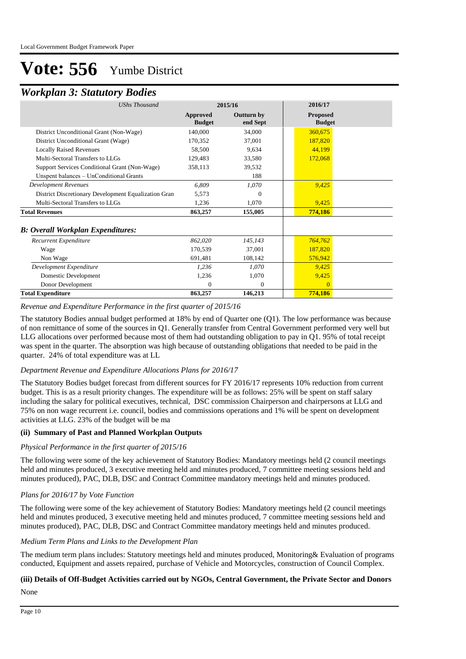### *Workplan 3: Statutory Bodies*

| <b>UShs Thousand</b>                                 |                           | 2015/16                       | 2016/17                          |  |
|------------------------------------------------------|---------------------------|-------------------------------|----------------------------------|--|
|                                                      | Approved<br><b>Budget</b> | <b>Outturn by</b><br>end Sept | <b>Proposed</b><br><b>Budget</b> |  |
| District Unconditional Grant (Non-Wage)              | 140,000                   | 34,000                        | 360,675                          |  |
| District Unconditional Grant (Wage)                  | 170,352                   | 37,001                        | 187,820                          |  |
| <b>Locally Raised Revenues</b>                       | 58,500                    | 9.634                         | 44,199                           |  |
| Multi-Sectoral Transfers to LLGs                     | 129,483                   | 33,580                        | 172,068                          |  |
| Support Services Conditional Grant (Non-Wage)        | 358,113                   | 39,532                        |                                  |  |
| Unspent balances - UnConditional Grants              |                           | 188                           |                                  |  |
| <b>Development Revenues</b>                          | 6,809                     | 1,070                         | 9,425                            |  |
| District Discretionary Development Equalization Gran | 5,573                     | $\Omega$                      |                                  |  |
| Multi-Sectoral Transfers to LLGs                     | 1,236                     | 1,070                         | 9,425                            |  |
| <b>Total Revenues</b>                                | 863,257                   | 155,005                       | 774,186                          |  |
| <b>B: Overall Workplan Expenditures:</b>             |                           |                               |                                  |  |
| Recurrent Expenditure                                | 862,020                   | 145,143                       | 764,762                          |  |
| Wage                                                 | 170,539                   | 37,001                        | 187,820                          |  |
| Non Wage                                             | 691,481                   | 108,142                       | 576,942                          |  |
| Development Expenditure                              | 1,236                     | 1,070                         | 9,425                            |  |
| Domestic Development                                 | 1,236                     | 1,070                         | 9,425                            |  |
| Donor Development                                    | $\Omega$                  | $\overline{0}$                |                                  |  |
| <b>Total Expenditure</b>                             | 863,257                   | 146,213                       | 774,186                          |  |

*Revenue and Expenditure Performance in the first quarter of 2015/16*

The statutory Bodies annual budget performed at 18% by end of Quarter one (Q1). The low performance was because of non remittance of some of the sources in Q1. Generally transfer from Central Government performed very well but LLG allocations over performed because most of them had outstanding obligation to pay in Q1. 95% of total receipt was spent in the quarter. The absorption was high because of outstanding obligations that needed to be paid in the quarter. 24% of total expenditure was at LL

#### *Department Revenue and Expenditure Allocations Plans for 2016/17*

The Statutory Bodies budget forecast from different sources for FY 2016/17 represents 10% reduction from current budget. This is as a result priority changes. The expenditure will be as follows: 25% will be spent on staff salary including the salary for political executives, technical, DSC commission Chairperson and chairpersons at LLG and 75% on non wage recurrent i.e. council, bodies and commissions operations and 1% will be spent on development activities at LLG. 23% of the budget will be ma

#### **(ii) Summary of Past and Planned Workplan Outputs**

#### *Physical Performance in the first quarter of 2015/16*

The following were some of the key achievement of Statutory Bodies: Mandatory meetings held (2 council meetings held and minutes produced, 3 executive meeting held and minutes produced, 7 committee meeting sessions held and minutes produced), PAC, DLB, DSC and Contract Committee mandatory meetings held and minutes produced.

#### *Plans for 2016/17 by Vote Function*

The following were some of the key achievement of Statutory Bodies: Mandatory meetings held (2 council meetings held and minutes produced, 3 executive meeting held and minutes produced, 7 committee meeting sessions held and minutes produced), PAC, DLB, DSC and Contract Committee mandatory meetings held and minutes produced.

#### *Medium Term Plans and Links to the Development Plan*

The medium term plans includes: Statutory meetings held and minutes produced, Monitoring& Evaluation of programs conducted, Equipment and assets repaired, purchase of Vehicle and Motorcycles, construction of Council Complex.

## **(iii) Details of Off-Budget Activities carried out by NGOs, Central Government, the Private Sector and Donors**

None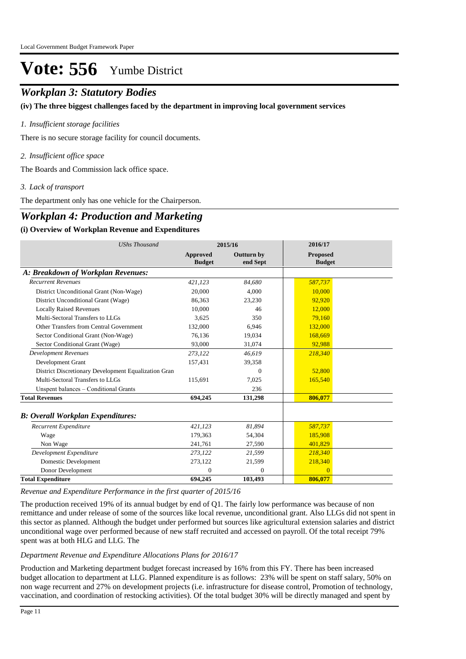### *Workplan 3: Statutory Bodies*

**(iv) The three biggest challenges faced by the department in improving local government services**

#### *Insufficient storage facilities 1.*

There is no secure storage facility for council documents.

*Insufficient office space 2.*

The Boards and Commission lack office space.

*Lack of transport 3.*

The department only has one vehicle for the Chairperson.

### *Workplan 4: Production and Marketing*

#### **(i) Overview of Workplan Revenue and Expenditures**

| <b>UShs Thousand</b>                                 |                                  | 2015/16                       | 2016/17                          |
|------------------------------------------------------|----------------------------------|-------------------------------|----------------------------------|
|                                                      | <b>Approved</b><br><b>Budget</b> | <b>Outturn by</b><br>end Sept | <b>Proposed</b><br><b>Budget</b> |
| A: Breakdown of Workplan Revenues:                   |                                  |                               |                                  |
| <b>Recurrent Revenues</b>                            | 421,123                          | 84.680                        | 587,737                          |
| District Unconditional Grant (Non-Wage)              | 20,000                           | 4,000                         | 10,000                           |
| District Unconditional Grant (Wage)                  | 86,363                           | 23,230                        | 92,920                           |
| <b>Locally Raised Revenues</b>                       | 10,000                           | 46                            | 12,000                           |
| Multi-Sectoral Transfers to LLGs                     | 3.625                            | 350                           | 79.160                           |
| Other Transfers from Central Government              | 132,000                          | 6,946                         | 132,000                          |
| Sector Conditional Grant (Non-Wage)                  | 76,136                           | 19,034                        | 168,669                          |
| Sector Conditional Grant (Wage)                      | 93,000                           | 31,074                        | 92,988                           |
| <b>Development Revenues</b>                          | 273,122                          | 46,619                        | 218,340                          |
| Development Grant                                    | 157,431                          | 39,358                        |                                  |
| District Discretionary Development Equalization Gran |                                  | $\Omega$                      | 52,800                           |
| Multi-Sectoral Transfers to LLGs                     | 115,691                          | 7,025                         | 165,540                          |
| Unspent balances - Conditional Grants                |                                  | 236                           |                                  |
| <b>Total Revenues</b>                                | 694,245                          | 131,298                       | 806,077                          |
| <b>B</b> : Overall Workplan Expenditures:            |                                  |                               |                                  |
| Recurrent Expenditure                                | 421,123                          | 81,894                        | 587,737                          |
| Wage                                                 | 179.363                          | 54,304                        | 185,908                          |
| Non Wage                                             | 241.761                          | 27,590                        | 401,829                          |
| Development Expenditure                              | 273,122                          | 21,599                        | 218,340                          |
| Domestic Development                                 | 273,122                          | 21,599                        | 218,340                          |
| Donor Development                                    | $\Omega$                         | $\theta$                      | $\Omega$                         |
| <b>Total Expenditure</b>                             | 694,245                          | 103,493                       | 806,077                          |

*Revenue and Expenditure Performance in the first quarter of 2015/16*

The production received 19% of its annual budget by end of Q1. The fairly low performance was because of non remittance and under release of some of the sources like local revenue, unconditional grant. Also LLGs did not spent in this sector as planned. Although the budget under performed but sources like agricultural extension salaries and district unconditional wage over performed because of new staff recruited and accessed on payroll. Of the total receipt 79% spent was at both HLG and LLG. The

#### *Department Revenue and Expenditure Allocations Plans for 2016/17*

Production and Marketing department budget forecast increased by 16% from this FY. There has been increased budget allocation to department at LLG. Planned expenditure is as follows: 23% will be spent on staff salary, 50% on non wage recurrent and 27% on development projects (i.e. infrastructure for disease control, Promotion of technology, vaccination, and coordination of restocking activities). Of the total budget 30% will be directly managed and spent by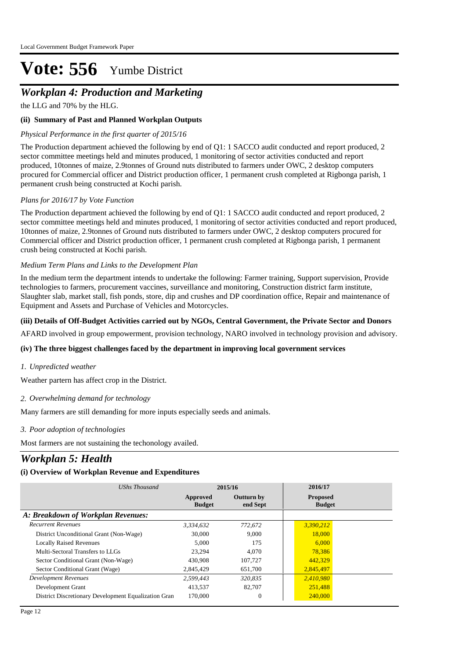## *Workplan 4: Production and Marketing*

the LLG and 70% by the HLG.

#### **(ii) Summary of Past and Planned Workplan Outputs**

#### *Physical Performance in the first quarter of 2015/16*

The Production department achieved the following by end of Q1: 1 SACCO audit conducted and report produced, 2 sector committee meetings held and minutes produced, 1 monitoring of sector activities conducted and report produced, 10tonnes of maize, 2.9tonnes of Ground nuts distributed to farmers under OWC, 2 desktop computers procured for Commercial officer and District production officer, 1 permanent crush completed at Rigbonga parish, 1 permanent crush being constructed at Kochi parish.

#### *Plans for 2016/17 by Vote Function*

The Production department achieved the following by end of Q1: 1 SACCO audit conducted and report produced, 2 sector committee meetings held and minutes produced, 1 monitoring of sector activities conducted and report produced, 10tonnes of maize, 2.9tonnes of Ground nuts distributed to farmers under OWC, 2 desktop computers procured for Commercial officer and District production officer, 1 permanent crush completed at Rigbonga parish, 1 permanent crush being constructed at Kochi parish.

#### *Medium Term Plans and Links to the Development Plan*

In the medium term the department intends to undertake the following: Farmer training, Support supervision, Provide technologies to farmers, procurement vaccines, surveillance and monitoring, Construction district farm institute, Slaughter slab, market stall, fish ponds, store, dip and crushes and DP coordination office, Repair and maintenance of Equipment and Assets and Purchase of Vehicles and Motorcycles.

#### **(iii) Details of Off-Budget Activities carried out by NGOs, Central Government, the Private Sector and Donors**

AFARD involved in group empowerment, provision technology, NARO involved in technology provision and advisory.

#### **(iv) The three biggest challenges faced by the department in improving local government services**

#### *Unpredicted weather 1.*

Weather partern has affect crop in the District.

#### *Overwhelming demand for technology 2.*

Many farmers are still demanding for more inputs especially seeds and animals.

#### *Poor adoption of technologies 3.*

Most farmers are not sustaining the techonology availed.

## *Workplan 5: Health*

| UShs Thousand                                        |                           | 2015/16                       | 2016/17                          |
|------------------------------------------------------|---------------------------|-------------------------------|----------------------------------|
|                                                      | Approved<br><b>Budget</b> | <b>Outturn by</b><br>end Sept | <b>Proposed</b><br><b>Budget</b> |
| A: Breakdown of Workplan Revenues:                   |                           |                               |                                  |
| <b>Recurrent Revenues</b>                            | 3.334.632                 | 772.672                       | 3,390,212                        |
| District Unconditional Grant (Non-Wage)              | 30,000                    | 9.000                         | 18,000                           |
| <b>Locally Raised Revenues</b>                       | 5.000                     | 175                           | 6,000                            |
| Multi-Sectoral Transfers to LLGs                     | 23,294                    | 4.070                         | 78,386                           |
| Sector Conditional Grant (Non-Wage)                  | 430,908                   | 107.727                       | 442,329                          |
| Sector Conditional Grant (Wage)                      | 2,845,429                 | 651,700                       | 2,845,497                        |
| Development Revenues                                 | 2.599.443                 | 320,835                       | 2,410,980                        |
| Development Grant                                    | 413.537                   | 82.707                        | 251,488                          |
| District Discretionary Development Equalization Gran | 170,000                   | $\theta$                      | 240,000                          |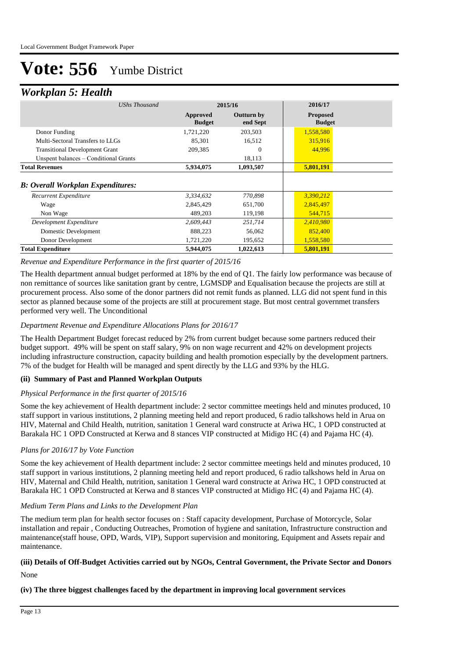### *Workplan 5: Health*

| UShs Thousand                            |                           | 2015/16                       | 2016/17                          |
|------------------------------------------|---------------------------|-------------------------------|----------------------------------|
|                                          | Approved<br><b>Budget</b> | <b>Outturn by</b><br>end Sept | <b>Proposed</b><br><b>Budget</b> |
| Donor Funding                            | 1,721,220                 | 203,503                       | 1,558,580                        |
| Multi-Sectoral Transfers to LLGs         | 85,301                    | 16,512                        | 315,916                          |
| <b>Transitional Development Grant</b>    | 209,385                   | 0                             | 44,996                           |
| Unspent balances – Conditional Grants    |                           | 18,113                        |                                  |
| <b>Total Revenues</b>                    | 5,934,075                 | 1,093,507                     | 5,801,191                        |
| <b>B: Overall Workplan Expenditures:</b> |                           |                               |                                  |
| Recurrent Expenditure                    | 3,334,632                 | 770,898                       | 3,390,212                        |
| Wage                                     | 2,845,429                 | 651,700                       | 2,845,497                        |
| Non Wage                                 | 489,203                   | 119,198                       | 544,715                          |
| Development Expenditure                  | 2,609,443                 | 251,714                       | 2,410,980                        |
| Domestic Development                     | 888,223                   | 56,062                        | 852,400                          |
| Donor Development                        | 1,721,220                 | 195,652                       | 1,558,580                        |
| <b>Total Expenditure</b>                 | 5,944,075                 | 1,022,613                     | 5,801,191                        |

#### *Revenue and Expenditure Performance in the first quarter of 2015/16*

The Health department annual budget performed at 18% by the end of Q1. The fairly low performance was because of non remittance of sources like sanitation grant by centre, LGMSDP and Equalisation because the projects are still at procurement process. Also some of the donor partners did not remit funds as planned. LLG did not spent fund in this sector as planned because some of the projects are still at procurement stage. But most central governmet transfers performed very well. The Unconditional

#### *Department Revenue and Expenditure Allocations Plans for 2016/17*

The Health Department Budget forecast reduced by 2% from current budget because some partners reduced their budget support. 49% will be spent on staff salary, 9% on non wage recurrent and 42% on development projects including infrastructure construction, capacity building and health promotion especially by the development partners. 7% of the budget for Health will be managed and spent directly by the LLG and 93% by the HLG.

#### **(ii) Summary of Past and Planned Workplan Outputs**

#### *Physical Performance in the first quarter of 2015/16*

Some the key achievement of Health department include: 2 sector committee meetings held and minutes produced, 10 staff support in various institutions, 2 planning meeting held and report produced, 6 radio talkshows held in Arua on HIV, Maternal and Child Health, nutrition, sanitation 1 General ward constructe at Ariwa HC, 1 OPD constructed at Barakala HC 1 OPD Constructed at Kerwa and 8 stances VIP constructed at Midigo HC (4) and Pajama HC (4).

#### *Plans for 2016/17 by Vote Function*

Some the key achievement of Health department include: 2 sector committee meetings held and minutes produced, 10 staff support in various institutions, 2 planning meeting held and report produced, 6 radio talkshows held in Arua on HIV, Maternal and Child Health, nutrition, sanitation 1 General ward constructe at Ariwa HC, 1 OPD constructed at Barakala HC 1 OPD Constructed at Kerwa and 8 stances VIP constructed at Midigo HC (4) and Pajama HC (4).

#### *Medium Term Plans and Links to the Development Plan*

The medium term plan for health sector focuses on : Staff capacity development, Purchase of Motorcycle, Solar installation and repair , Conducting Outreaches, Promotion of hygiene and sanitation, Infrastructure construction and maintenance(staff house, OPD, Wards, VIP), Support supervision and monitoring, Equipment and Assets repair and maintenance.

## **(iii) Details of Off-Budget Activities carried out by NGOs, Central Government, the Private Sector and Donors**

None

**(iv) The three biggest challenges faced by the department in improving local government services**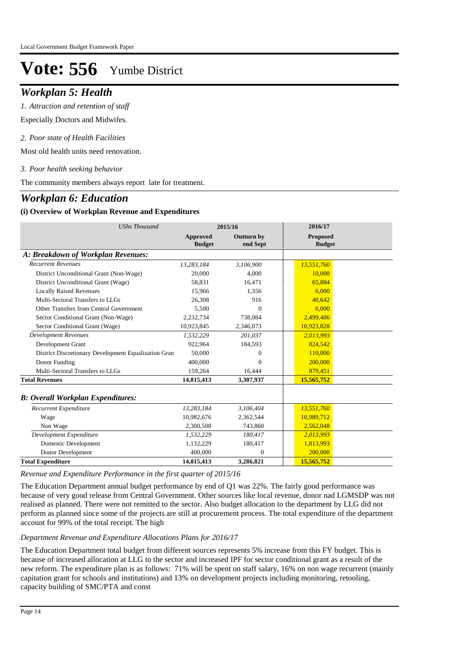### *Workplan 5: Health*

*Attraction and retention of staff 1.*

Especially Doctors and Midwifes.

*Poor state of Health Facilities 2.*

Most old health units need renovation.

#### *Poor health seeking behavior 3.*

The community members always report late for treatment.

### *Workplan 6: Education*

#### **(i) Overview of Workplan Revenue and Expenditures**

| <b>UShs Thousand</b>                                 |                                  | 2015/16                       | 2016/17                          |  |
|------------------------------------------------------|----------------------------------|-------------------------------|----------------------------------|--|
|                                                      | <b>Approved</b><br><b>Budget</b> | <b>Outturn by</b><br>end Sept | <b>Proposed</b><br><b>Budget</b> |  |
| A: Breakdown of Workplan Revenues:                   |                                  |                               |                                  |  |
| <b>Recurrent Revenues</b>                            | 13,283,184                       | 3,106,900                     | 13,551,760                       |  |
| District Unconditional Grant (Non-Wage)              | 20,000                           | 4.000                         | 10,000                           |  |
| District Unconditional Grant (Wage)                  | 58,831                           | 16,471                        | 65,884                           |  |
| <b>Locally Raised Revenues</b>                       | 15,966                           | 1,356                         | 6.000                            |  |
| Multi-Sectoral Transfers to LLGs                     | 26,308                           | 916                           | 40.642                           |  |
| Other Transfers from Central Government              | 5,500                            | $\theta$                      | 6,000                            |  |
| Sector Conditional Grant (Non-Wage)                  | 2,232,734                        | 738,084                       | 2,499,406                        |  |
| Sector Conditional Grant (Wage)                      | 10,923,845                       | 2,346,073                     | 10,923,828                       |  |
| <b>Development Revenues</b>                          | 1,532,229                        | 201,037                       | 2,013,993                        |  |
| Development Grant                                    | 922.964                          | 184,593                       | 824.542                          |  |
| District Discretionary Development Equalization Gran | 50,000                           | 0                             | 110,000                          |  |
| Donor Funding                                        | 400,000                          | $\Omega$                      | 200,000                          |  |
| Multi-Sectoral Transfers to LLGs                     | 159,264                          | 16,444                        | 879,451                          |  |
| <b>Total Revenues</b>                                | 14,815,413                       | 3,307,937                     | 15,565,752                       |  |
| <b>B: Overall Workplan Expenditures:</b>             |                                  |                               |                                  |  |
| Recurrent Expenditure                                | 13,283,184                       | 3,106,404                     | 13,551,760                       |  |
| Wage                                                 | 10,982,676                       | 2,362,544                     | 10,989,712                       |  |
| Non Wage                                             | 2,300,508                        | 743,860                       | 2,562,048                        |  |
| Development Expenditure                              | 1,532,229                        | 180,417                       | 2,013,993                        |  |
| Domestic Development                                 | 1,132,229                        | 180,417                       | 1,813,993                        |  |
| Donor Development                                    | 400,000                          | $\Omega$                      | 200,000                          |  |
| <b>Total Expenditure</b>                             | 14,815,413                       | 3,286,821                     | 15,565,752                       |  |

*Revenue and Expenditure Performance in the first quarter of 2015/16*

The Education Department annual budget performance by end of Q1 was 22%. The fairly good performance was because of very good release from Central Government. Other sources like local revenue, donor nad LGMSDP was not realised as planned. There were not remitted to the sector. Also budget allocation to the department by LLG did not perform as planned since some of the projects are still at procurement process. The total expenditure of the department account for 99% of the total receipt. The high

#### *Department Revenue and Expenditure Allocations Plans for 2016/17*

The Education Department total budget from different sources represents 5% increase from this FY budget. This is because of increased allocation at LLG to the sector and increased IPF for sector conditional grant as a result of the new reform. The expenditure plan is as follows: 71% will be spent on staff salary, 16% on non wage recurrent (mainly capitation grant for schools and institutions) and 13% on development projects including monitoring, retooling, capacity building of SMC/PTA and const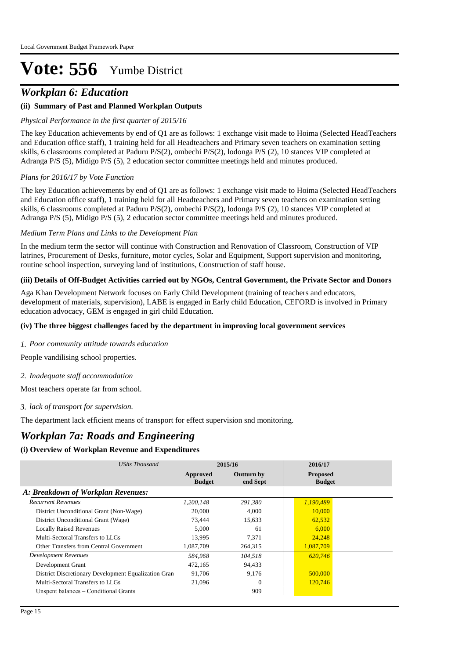### *Workplan 6: Education*

#### **(ii) Summary of Past and Planned Workplan Outputs**

#### *Physical Performance in the first quarter of 2015/16*

The key Education achievements by end of Q1 are as follows: 1 exchange visit made to Hoima (Selected HeadTeachers and Education office staff), 1 training held for all Headteachers and Primary seven teachers on examination setting skills, 6 classrooms completed at Paduru P/S(2), ombechi P/S(2), lodonga P/S (2), 10 stances VIP completed at Adranga P/S (5), Midigo P/S (5), 2 education sector committee meetings held and minutes produced.

#### *Plans for 2016/17 by Vote Function*

The key Education achievements by end of Q1 are as follows: 1 exchange visit made to Hoima (Selected HeadTeachers and Education office staff), 1 training held for all Headteachers and Primary seven teachers on examination setting skills, 6 classrooms completed at Paduru P/S(2), ombechi P/S(2), lodonga P/S (2), 10 stances VIP completed at Adranga P/S (5), Midigo P/S (5), 2 education sector committee meetings held and minutes produced.

#### *Medium Term Plans and Links to the Development Plan*

In the medium term the sector will continue with Construction and Renovation of Classroom, Construction of VIP latrines, Procurement of Desks, furniture, motor cycles, Solar and Equipment, Support supervision and monitoring, routine school inspection, surveying land of institutions, Construction of staff house.

#### **(iii) Details of Off-Budget Activities carried out by NGOs, Central Government, the Private Sector and Donors**

Aga Khan Development Network focuses on Early Child Development (training of teachers and educators, development of materials, supervision), LABE is engaged in Early child Education, CEFORD is involved in Primary education advocacy, GEM is engaged in girl child Education.

#### **(iv) The three biggest challenges faced by the department in improving local government services**

*Poor community attitude towards education 1.*

People vandilising school properties.

*Inadequate staff accommodation 2.*

Most teachers operate far from school.

#### *lack of transport for supervision. 3.*

The department lack efficient means of transport for effect supervision snd monitoring.

### *Workplan 7a: Roads and Engineering*

| UShs Thousand                                        | 2015/16                   |                        | 2016/17                          |
|------------------------------------------------------|---------------------------|------------------------|----------------------------------|
|                                                      | Approved<br><b>Budget</b> | Outturn by<br>end Sept | <b>Proposed</b><br><b>Budget</b> |
| A: Breakdown of Workplan Revenues:                   |                           |                        |                                  |
| <b>Recurrent Revenues</b>                            | 1,200,148                 | 291,380                | 1,190,489                        |
| District Unconditional Grant (Non-Wage)              | 20,000                    | 4,000                  | 10,000                           |
| District Unconditional Grant (Wage)                  | 73,444                    | 15,633                 | 62,532                           |
| <b>Locally Raised Revenues</b>                       | 5.000                     | 61                     | 6,000                            |
| Multi-Sectoral Transfers to LLGs                     | 13,995                    | 7,371                  | 24,248                           |
| Other Transfers from Central Government              | 1,087,709                 | 264,315                | 1,087,709                        |
| Development Revenues                                 | 584,968                   | 104,518                | 620,746                          |
| Development Grant                                    | 472,165                   | 94,433                 |                                  |
| District Discretionary Development Equalization Gran | 91,706                    | 9,176                  | 500,000                          |
| Multi-Sectoral Transfers to LLGs                     | 21,096                    | $\Omega$               | 120,746                          |
| Unspent balances – Conditional Grants                |                           | 909                    |                                  |
|                                                      |                           |                        |                                  |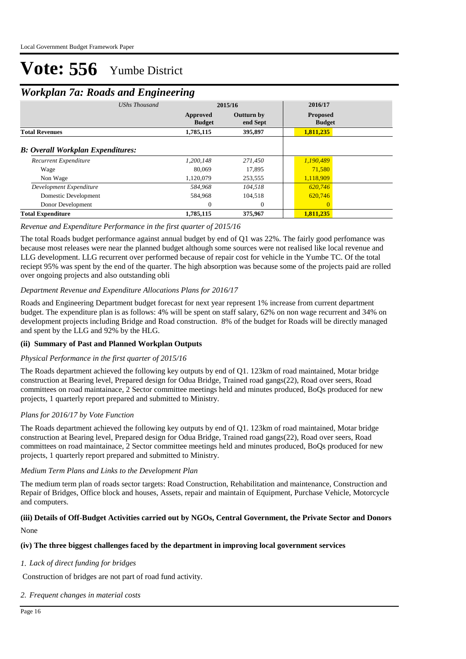### *Workplan 7a: Roads and Engineering*

| UShs Thousand                            |                           | 2015/16                | 2016/17                          |  |  |
|------------------------------------------|---------------------------|------------------------|----------------------------------|--|--|
|                                          | Approved<br><b>Budget</b> | Outturn by<br>end Sept | <b>Proposed</b><br><b>Budget</b> |  |  |
| <b>Total Revenues</b>                    | 1,785,115                 | 395,897                | 1,811,235                        |  |  |
| <b>B:</b> Overall Workplan Expenditures: |                           |                        |                                  |  |  |
| Recurrent Expenditure                    | 1.200.148                 | 271,450                | 1,190,489                        |  |  |
| Wage                                     | 80.069                    | 17.895                 | 71.580                           |  |  |
| Non Wage                                 | 1,120,079                 | 253,555                | 1,118,909                        |  |  |
| Development Expenditure                  | 584.968                   | 104.518                | 620,746                          |  |  |
| Domestic Development                     | 584,968                   | 104,518                | 620,746                          |  |  |
| Donor Development                        | $\mathbf{0}$              | $\overline{0}$         | $\Omega$                         |  |  |
| <b>Total Expenditure</b>                 | 1,785,115                 | 375,967                | 1,811,235                        |  |  |

#### *Revenue and Expenditure Performance in the first quarter of 2015/16*

The total Roads budget performance against annual budget by end of Q1 was 22%. The fairly good perfomance was because most releases were near the planned budget although some sources were not realised like local revenue and LLG development. LLG recurrent over performed because of repair cost for vehicle in the Yumbe TC. Of the total reciept 95% was spent by the end of the quarter. The high absorption was because some of the projects paid are rolled over ongoing projects and also outstanding obli

#### *Department Revenue and Expenditure Allocations Plans for 2016/17*

Roads and Engineering Department budget forecast for next year represent 1% increase from current department budget. The expenditure plan is as follows: 4% will be spent on staff salary, 62% on non wage recurrent and 34% on development projects including Bridge and Road construction. 8% of the budget for Roads will be directly managed and spent by the LLG and 92% by the HLG.

#### **(ii) Summary of Past and Planned Workplan Outputs**

#### *Physical Performance in the first quarter of 2015/16*

The Roads department achieved the following key outputs by end of Q1. 123km of road maintained, Motar bridge construction at Bearing level, Prepared design for Odua Bridge, Trained road gangs(22), Road over seers, Road committees on road maintainace, 2 Sector committee meetings held and minutes produced, BoQs produced for new projects, 1 quarterly report prepared and submitted to Ministry.

#### *Plans for 2016/17 by Vote Function*

The Roads department achieved the following key outputs by end of Q1. 123km of road maintained, Motar bridge construction at Bearing level, Prepared design for Odua Bridge, Trained road gangs(22), Road over seers, Road committees on road maintainace, 2 Sector committee meetings held and minutes produced, BoQs produced for new projects, 1 quarterly report prepared and submitted to Ministry.

#### *Medium Term Plans and Links to the Development Plan*

The medium term plan of roads sector targets: Road Construction, Rehabilitation and maintenance, Construction and Repair of Bridges, Office block and houses, Assets, repair and maintain of Equipment, Purchase Vehicle, Motorcycle and computers.

#### None **(iii) Details of Off-Budget Activities carried out by NGOs, Central Government, the Private Sector and Donors**

#### **(iv) The three biggest challenges faced by the department in improving local government services**

#### *Lack of direct funding for bridges 1.*

Construction of bridges are not part of road fund activity.

#### *Frequent changes in material costs 2.*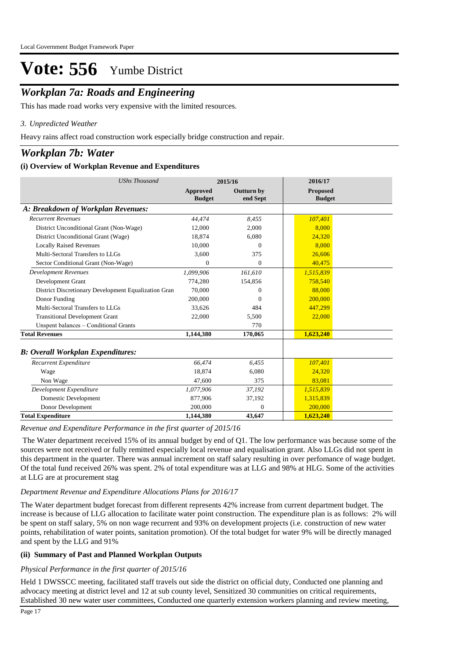## *Workplan 7a: Roads and Engineering*

This has made road works very expensive with the limited resources.

### *Unpredicted Weather 3.*

Heavy rains affect road construction work especially bridge construction and repair.

## *Workplan 7b: Water*

#### **(i) Overview of Workplan Revenue and Expenditures**

| <b>UShs Thousand</b>                                 |                           | 2015/16                       | 2016/17                          |
|------------------------------------------------------|---------------------------|-------------------------------|----------------------------------|
|                                                      | Approved<br><b>Budget</b> | <b>Outturn by</b><br>end Sept | <b>Proposed</b><br><b>Budget</b> |
| A: Breakdown of Workplan Revenues:                   |                           |                               |                                  |
| <b>Recurrent Revenues</b>                            | 44,474                    | 8,455                         | 107,401                          |
| District Unconditional Grant (Non-Wage)              | 12,000                    | 2,000                         | 8.000                            |
| District Unconditional Grant (Wage)                  | 18,874                    | 6,080                         | 24,320                           |
| <b>Locally Raised Revenues</b>                       | 10,000                    | $\Omega$                      | 8.000                            |
| Multi-Sectoral Transfers to LLGs                     | 3.600                     | 375                           | 26,606                           |
| Sector Conditional Grant (Non-Wage)                  | $\Omega$                  | $\Omega$                      | 40,475                           |
| <b>Development Revenues</b>                          | 1,099,906                 | 161,610                       | 1,515,839                        |
| Development Grant                                    | 774,280                   | 154,856                       | 758,540                          |
| District Discretionary Development Equalization Gran | 70,000                    | 0                             | 88,000                           |
| Donor Funding                                        | 200,000                   | 0                             | 200,000                          |
| Multi-Sectoral Transfers to LLGs                     | 33.626                    | 484                           | 447.299                          |
| <b>Transitional Development Grant</b>                | 22,000                    | 5,500                         | 22,000                           |
| Unspent balances - Conditional Grants                |                           | 770                           |                                  |
| <b>Total Revenues</b>                                | 1,144,380                 | 170,065                       | 1,623,240                        |
| <b>B: Overall Workplan Expenditures:</b>             |                           |                               |                                  |
| Recurrent Expenditure                                | 66,474                    | 6,455                         | 107,401                          |
| Wage                                                 | 18.874                    | 6,080                         | 24,320                           |
| Non Wage                                             | 47,600                    | 375                           | 83,081                           |
| Development Expenditure                              | 1,077,906                 | 37,192                        | 1,515,839                        |
| Domestic Development                                 | 877.906                   | 37,192                        | 1,315,839                        |
| Donor Development                                    | 200,000                   | $\mathbf{0}$                  | 200,000                          |
| <b>Total Expenditure</b>                             | 1,144,380                 | 43,647                        | 1,623,240                        |

#### *Revenue and Expenditure Performance in the first quarter of 2015/16*

 The Water department received 15% of its annual budget by end of Q1. The low performance was because some of the sources were not received or fully remitted especially local revenue and equalisation grant. Also LLGs did not spent in this department in the quarter. There was annual increment on staff salary resulting in over perfomance of wage budget. Of the total fund received 26% was spent. 2% of total expenditure was at LLG and 98% at HLG. Some of the activities at LLG are at procurement stag

#### *Department Revenue and Expenditure Allocations Plans for 2016/17*

The Water department budget forecast from different represents 42% increase from current department budget. The increase is because of LLG allocation to facilitate water point construction. The expenditure plan is as follows: 2% will be spent on staff salary, 5% on non wage recurrent and 93% on development projects (i.e. construction of new water points, rehabilitation of water points, sanitation promotion). Of the total budget for water 9% will be directly managed and spent by the LLG and 91%

### **(ii) Summary of Past and Planned Workplan Outputs**

#### *Physical Performance in the first quarter of 2015/16*

Held 1 DWSSCC meeting, facilitated staff travels out side the district on official duty, Conducted one planning and advocacy meeting at district level and 12 at sub county level, Sensitized 30 communities on critical requirements, Established 30 new water user committees, Conducted one quarterly extension workers planning and review meeting,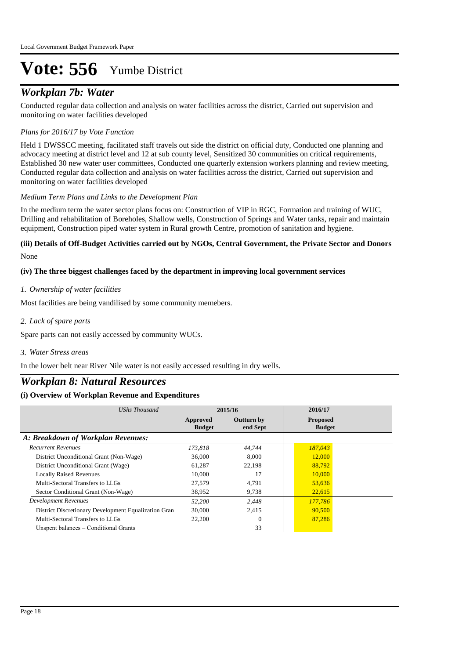## *Workplan 7b: Water*

Conducted regular data collection and analysis on water facilities across the district, Carried out supervision and monitoring on water facilities developed

#### *Plans for 2016/17 by Vote Function*

Held 1 DWSSCC meeting, facilitated staff travels out side the district on official duty, Conducted one planning and advocacy meeting at district level and 12 at sub county level, Sensitized 30 communities on critical requirements, Established 30 new water user committees, Conducted one quarterly extension workers planning and review meeting, Conducted regular data collection and analysis on water facilities across the district, Carried out supervision and monitoring on water facilities developed

#### *Medium Term Plans and Links to the Development Plan*

In the medium term the water sector plans focus on: Construction of VIP in RGC, Formation and training of WUC, Drilling and rehabilitation of Boreholes, Shallow wells, Construction of Springs and Water tanks, repair and maintain equipment, Construction piped water system in Rural growth Centre, promotion of sanitation and hygiene.

#### None **(iii) Details of Off-Budget Activities carried out by NGOs, Central Government, the Private Sector and Donors**

#### **(iv) The three biggest challenges faced by the department in improving local government services**

#### *Ownership of water facilities 1.*

Most facilities are being vandilised by some community memebers.

*Lack of spare parts 2.*

Spare parts can not easily accessed by community WUCs.

*Water Stress areas 3.*

In the lower belt near River Nile water is not easily accessed resulting in dry wells.

### *Workplan 8: Natural Resources*

| UShs Thousand                                        | 2015/16                   |                               | 2016/17                          |
|------------------------------------------------------|---------------------------|-------------------------------|----------------------------------|
|                                                      | Approved<br><b>Budget</b> | <b>Outturn by</b><br>end Sept | <b>Proposed</b><br><b>Budget</b> |
| A: Breakdown of Workplan Revenues:                   |                           |                               |                                  |
| <b>Recurrent Revenues</b>                            | 173.818                   | 44,744                        | 187,043                          |
| District Unconditional Grant (Non-Wage)              | 36,000                    | 8.000                         | 12,000                           |
| District Unconditional Grant (Wage)                  | 61.287                    | 22,198                        | 88,792                           |
| <b>Locally Raised Revenues</b>                       | 10,000                    | 17                            | 10,000                           |
| Multi-Sectoral Transfers to LLGs                     | 27.579                    | 4.791                         | 53,636                           |
| Sector Conditional Grant (Non-Wage)                  | 38,952                    | 9,738                         | 22,615                           |
| <b>Development Revenues</b>                          | 52,200                    | 2,448                         | 177,786                          |
| District Discretionary Development Equalization Gran | 30,000                    | 2,415                         | 90,500                           |
| Multi-Sectoral Transfers to LLGs                     | 22,200                    | 0                             | 87,286                           |
| Unspent balances – Conditional Grants                |                           | 33                            |                                  |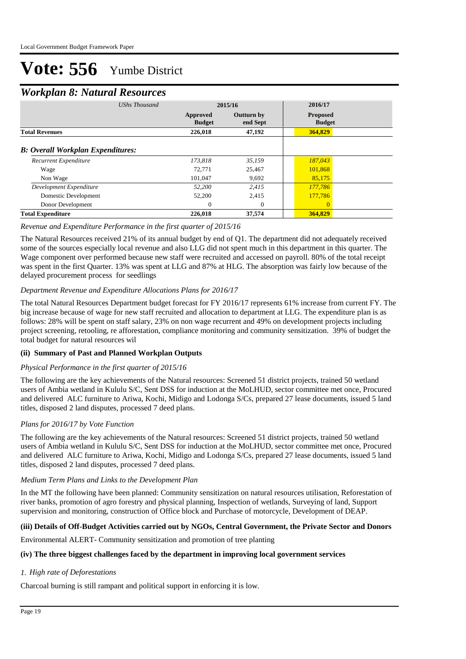### *Workplan 8: Natural Resources*

| <b>UShs Thousand</b>                     | 2015/16                   |                               | 2016/17                          |  |  |
|------------------------------------------|---------------------------|-------------------------------|----------------------------------|--|--|
|                                          | Approved<br><b>Budget</b> | <b>Outturn by</b><br>end Sept | <b>Proposed</b><br><b>Budget</b> |  |  |
| <b>Total Revenues</b>                    | 226,018                   | 47,192                        | 364,829                          |  |  |
| <b>B:</b> Overall Workplan Expenditures: |                           |                               |                                  |  |  |
| Recurrent Expenditure                    | 173.818                   | 35,159                        | 187,043                          |  |  |
| Wage                                     | 72.771                    | 25,467                        | 101,868                          |  |  |
| Non Wage                                 | 101,047                   | 9,692                         | 85,175                           |  |  |
| Development Expenditure                  | 52,200                    | 2.415                         | 177.786                          |  |  |
| Domestic Development                     | 52,200                    | 2,415                         | 177,786                          |  |  |
| Donor Development                        | $\Omega$                  | $\Omega$                      | $\Omega$                         |  |  |
| <b>Total Expenditure</b>                 | 226,018                   | 37,574                        | 364,829                          |  |  |

#### *Revenue and Expenditure Performance in the first quarter of 2015/16*

The Natural Resources received 21% of its annual budget by end of Q1. The department did not adequately received some of the sources especially local revenue and also LLG did not spent much in this department in this quarter. The Wage component over performed because new staff were recruited and accessed on payroll. 80% of the total receipt was spent in the first Quarter. 13% was spent at LLG and 87% at HLG. The absorption was fairly low because of the delayed procurement process for seedlings

#### *Department Revenue and Expenditure Allocations Plans for 2016/17*

The total Natural Resources Department budget forecast for FY 2016/17 represents 61% increase from current FY. The big increase because of wage for new staff recruited and allocation to department at LLG. The expenditure plan is as follows: 28% will be spent on staff salary, 23% on non wage recurrent and 49% on development projects including project screening, retooling, re afforestation, compliance monitoring and community sensitization. 39% of budget the total budget for natural resources wil

#### **(ii) Summary of Past and Planned Workplan Outputs**

#### *Physical Performance in the first quarter of 2015/16*

The following are the key achievements of the Natural resources: Screened 51 district projects, trained 50 wetland users of Ambia wetland in Kululu S/C, Sent DSS for induction at the MoLHUD, sector committee met once, Procured and delivered ALC furniture to Ariwa, Kochi, Midigo and Lodonga S/Cs, prepared 27 lease documents, issued 5 land titles, disposed 2 land disputes, processed 7 deed plans.

#### *Plans for 2016/17 by Vote Function*

The following are the key achievements of the Natural resources: Screened 51 district projects, trained 50 wetland users of Ambia wetland in Kululu S/C, Sent DSS for induction at the MoLHUD, sector committee met once, Procured and delivered ALC furniture to Ariwa, Kochi, Midigo and Lodonga S/Cs, prepared 27 lease documents, issued 5 land titles, disposed 2 land disputes, processed 7 deed plans.

#### *Medium Term Plans and Links to the Development Plan*

In the MT the following have been planned: Community sensitization on natural resources utilisation, Reforestation of river banks, promotion of agro forestry and physical planning, Inspection of wetlands, Surveying of land, Support supervision and monitoring, construction of Office block and Purchase of motorcycle, Development of DEAP.

#### **(iii) Details of Off-Budget Activities carried out by NGOs, Central Government, the Private Sector and Donors**

Environmental ALERT- Community sensitization and promotion of tree planting

#### **(iv) The three biggest challenges faced by the department in improving local government services**

#### *High rate of Deforestations 1.*

Charcoal burning is still rampant and political support in enforcing it is low.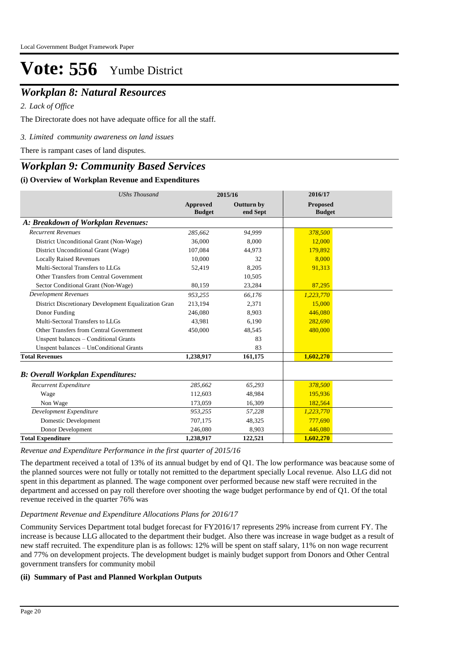### *Workplan 8: Natural Resources*

*Lack of Office 2.*

The Directorate does not have adequate office for all the staff.

*Limited community awareness on land issues 3.*

There is rampant cases of land disputes.

### *Workplan 9: Community Based Services*

#### **(i) Overview of Workplan Revenue and Expenditures**

| <b>UShs Thousand</b>                                 |                                  | 2015/16                       | 2016/17                   |  |
|------------------------------------------------------|----------------------------------|-------------------------------|---------------------------|--|
|                                                      | <b>Approved</b><br><b>Budget</b> | <b>Outturn by</b><br>end Sept | Proposed<br><b>Budget</b> |  |
| A: Breakdown of Workplan Revenues:                   |                                  |                               |                           |  |
| <b>Recurrent Revenues</b>                            | 285,662                          | 94,999                        | 378,500                   |  |
| District Unconditional Grant (Non-Wage)              | 36,000                           | 8,000                         | 12,000                    |  |
| District Unconditional Grant (Wage)                  | 107,084                          | 44,973                        | 179,892                   |  |
| <b>Locally Raised Revenues</b>                       | 10,000                           | 32                            | 8,000                     |  |
| Multi-Sectoral Transfers to LLGs                     | 52,419                           | 8,205                         | 91,313                    |  |
| Other Transfers from Central Government              |                                  | 10,505                        |                           |  |
| Sector Conditional Grant (Non-Wage)                  | 80,159                           | 23,284                        | 87,295                    |  |
| Development Revenues                                 | 953,255                          | 66,176                        | 1,223,770                 |  |
| District Discretionary Development Equalization Gran | 213,194                          | 2,371                         | 15,000                    |  |
| Donor Funding                                        | 246,080                          | 8,903                         | 446,080                   |  |
| Multi-Sectoral Transfers to LLGs                     | 43.981                           | 6,190                         | 282,690                   |  |
| Other Transfers from Central Government              | 450,000                          | 48,545                        | 480,000                   |  |
| Unspent balances - Conditional Grants                |                                  | 83                            |                           |  |
| Unspent balances - UnConditional Grants              |                                  | 83                            |                           |  |
| <b>Total Revenues</b>                                | 1,238,917                        | 161,175                       | 1,602,270                 |  |
| <b>B</b> : Overall Workplan Expenditures:            |                                  |                               |                           |  |
| Recurrent Expenditure                                | 285,662                          | 65,293                        | 378,500                   |  |
| Wage                                                 | 112,603                          | 48,984                        | 195,936                   |  |
| Non Wage                                             | 173,059                          | 16,309                        | 182,564                   |  |
| Development Expenditure                              | 953,255                          | 57,228                        | 1,223,770                 |  |
| <b>Domestic Development</b>                          | 707,175                          | 48,325                        | 777,690                   |  |
| Donor Development                                    | 246,080                          | 8,903                         | 446,080                   |  |
| <b>Total Expenditure</b>                             | 1,238,917                        | 122,521                       | 1,602,270                 |  |

#### *Revenue and Expenditure Performance in the first quarter of 2015/16*

The department received a total of 13% of its annual budget by end of Q1. The low performance was beacause some of the planned sources were not fully or totally not remitted to the department specially Local revenue. Also LLG did not spent in this department as planned. The wage component over performed because new staff were recruited in the department and accessed on pay roll therefore over shooting the wage budget performance by end of Q1. Of the total revenue received in the quarter 76% was

#### *Department Revenue and Expenditure Allocations Plans for 2016/17*

Community Services Department total budget forecast for FY2016/17 represents 29% increase from current FY. The increase is because LLG allocated to the department their budget. Also there was increase in wage budget as a result of new staff recruited. The expenditure plan is as follows: 12% will be spent on staff salary, 11% on non wage recurrent and 77% on development projects. The development budget is mainly budget support from Donors and Other Central government transfers for community mobil

#### **(ii) Summary of Past and Planned Workplan Outputs**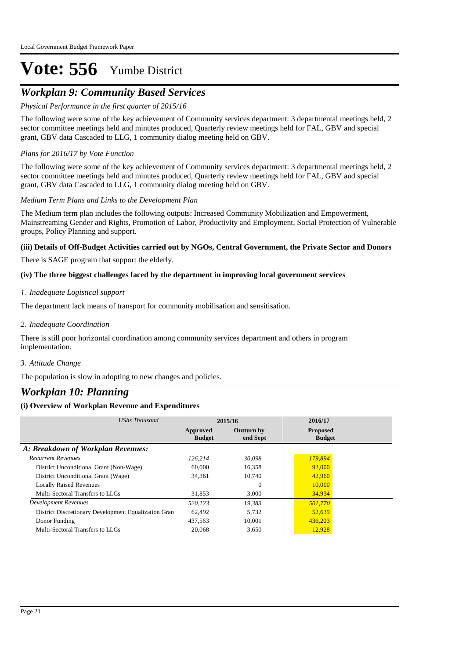## *Workplan 9: Community Based Services*

#### *Physical Performance in the first quarter of 2015/16*

The following were some of the key achievement of Community services department: 3 departmental meetings held, 2 sector committee meetings held and minutes produced, Quarterly review meetings held for FAL, GBV and special grant, GBV data Cascaded to LLG, 1 community dialog meeting held on GBV.

#### *Plans for 2016/17 by Vote Function*

The following were some of the key achievement of Community services department: 3 departmental meetings held, 2 sector committee meetings held and minutes produced, Quarterly review meetings held for FAL, GBV and special grant, GBV data Cascaded to LLG, 1 community dialog meeting held on GBV.

#### *Medium Term Plans and Links to the Development Plan*

The Medium term plan includes the following outputs: Increased Community Mobilization and Empowerment, Mainstreaming Gender and Rights, Promotion of Labor, Productivity and Employment, Social Protection of Vulnerable groups, Policy Planning and support.

#### **(iii) Details of Off-Budget Activities carried out by NGOs, Central Government, the Private Sector and Donors**

There is SAGE program that support the elderly.

#### **(iv) The three biggest challenges faced by the department in improving local government services**

#### *Inadequate Logistical support 1.*

The department lack means of transport for community mobilisation and sensitisation.

#### *Inadequate Coordination 2.*

There is still poor horizontal coordination among community services department and others in program implementation.

#### *Attitude Change 3.*

The population is slow in adopting to new changes and policies.

### *Workplan 10: Planning*

| UShs Thousand                                        |                           | 2015/16                       | 2016/17                          |  |
|------------------------------------------------------|---------------------------|-------------------------------|----------------------------------|--|
|                                                      | Approved<br><b>Budget</b> | <b>Outturn by</b><br>end Sept | <b>Proposed</b><br><b>Budget</b> |  |
| A: Breakdown of Workplan Revenues:                   |                           |                               |                                  |  |
| <b>Recurrent Revenues</b>                            | 126.214                   | 30,098                        | 179,894                          |  |
| District Unconditional Grant (Non-Wage)              | 60,000                    | 16,358                        | 92,000                           |  |
| District Unconditional Grant (Wage)                  | 34,361                    | 10,740                        | 42,960                           |  |
| <b>Locally Raised Revenues</b>                       |                           | $\Omega$                      | 10,000                           |  |
| Multi-Sectoral Transfers to LLGs                     | 31.853                    | 3.000                         | 34,934                           |  |
| Development Revenues                                 | 520.123                   | 19.383                        | 501,770                          |  |
| District Discretionary Development Equalization Gran | 62.492                    | 5.732                         | 52,639                           |  |
| Donor Funding                                        | 437,563                   | 10.001                        | 436,203                          |  |
| Multi-Sectoral Transfers to LLGs                     | 20,068                    | 3.650                         | 12,928                           |  |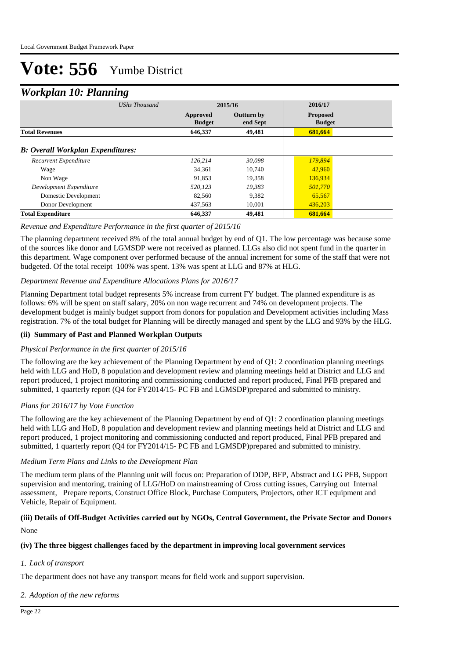### *Workplan 10: Planning*

|                                          | ິ                    |                           |                               |                                  |  |  |
|------------------------------------------|----------------------|---------------------------|-------------------------------|----------------------------------|--|--|
|                                          | <b>UShs Thousand</b> | 2015/16                   |                               | 2016/17                          |  |  |
|                                          |                      | Approved<br><b>Budget</b> | <b>Outturn by</b><br>end Sept | <b>Proposed</b><br><b>Budget</b> |  |  |
| <b>Total Revenues</b>                    |                      | 646,337                   | 49,481                        | 681,664                          |  |  |
| <b>B: Overall Workplan Expenditures:</b> |                      |                           |                               |                                  |  |  |
| Recurrent Expenditure                    |                      | 126,214                   | 30,098                        | 179,894                          |  |  |
| Wage                                     |                      | 34,361                    | 10.740                        | 42,960                           |  |  |
| Non Wage                                 |                      | 91,853                    | 19,358                        | 136,934                          |  |  |
| Development Expenditure                  |                      | 520,123                   | 19,383                        | 501,770                          |  |  |
| Domestic Development                     |                      | 82,560                    | 9,382                         | 65,567                           |  |  |
| Donor Development                        |                      | 437,563                   | 10.001                        | 436,203                          |  |  |
| <b>Total Expenditure</b>                 |                      | 646,337                   | 49,481                        | 681,664                          |  |  |

#### *Revenue and Expenditure Performance in the first quarter of 2015/16*

The planning department received 8% of the total annual budget by end of Q1. The low percentage was because some of the sources like donor and LGMSDP were not received as planned. LLGs also did not spent fund in the quarter in this department. Wage component over performed because of the annual increment for some of the staff that were not budgeted. Of the total receipt 100% was spent. 13% was spent at LLG and 87% at HLG.

#### *Department Revenue and Expenditure Allocations Plans for 2016/17*

Planning Department total budget represents 5% increase from current FY budget. The planned expenditure is as follows: 6% will be spent on staff salary, 20% on non wage recurrent and 74% on development projects. The development budget is mainly budget support from donors for population and Development activities including Mass registration. 7% of the total budget for Planning will be directly managed and spent by the LLG and 93% by the HLG.

#### **(ii) Summary of Past and Planned Workplan Outputs**

#### *Physical Performance in the first quarter of 2015/16*

The following are the key achievement of the Planning Department by end of Q1: 2 coordination planning meetings held with LLG and HoD, 8 population and development review and planning meetings held at District and LLG and report produced, 1 project monitoring and commissioning conducted and report produced, Final PFB prepared and submitted, 1 quarterly report (Q4 for FY2014/15- PC FB and LGMSDP)prepared and submitted to ministry.

#### *Plans for 2016/17 by Vote Function*

The following are the key achievement of the Planning Department by end of Q1: 2 coordination planning meetings held with LLG and HoD, 8 population and development review and planning meetings held at District and LLG and report produced, 1 project monitoring and commissioning conducted and report produced, Final PFB prepared and submitted, 1 quarterly report (Q4 for FY2014/15- PC FB and LGMSDP)prepared and submitted to ministry.

#### *Medium Term Plans and Links to the Development Plan*

The medium term plans of the Planning unit will focus on: Preparation of DDP, BFP, Abstract and LG PFB, Support supervision and mentoring, training of LLG/HoD on mainstreaming of Cross cutting issues, Carrying out Internal assessment, Prepare reports, Construct Office Block, Purchase Computers, Projectors, other ICT equipment and Vehicle, Repair of Equipment.

#### None **(iii) Details of Off-Budget Activities carried out by NGOs, Central Government, the Private Sector and Donors**

#### **(iv) The three biggest challenges faced by the department in improving local government services**

#### *Lack of transport 1.*

The department does not have any transport means for field work and support supervision.

#### *Adoption of the new reforms 2.*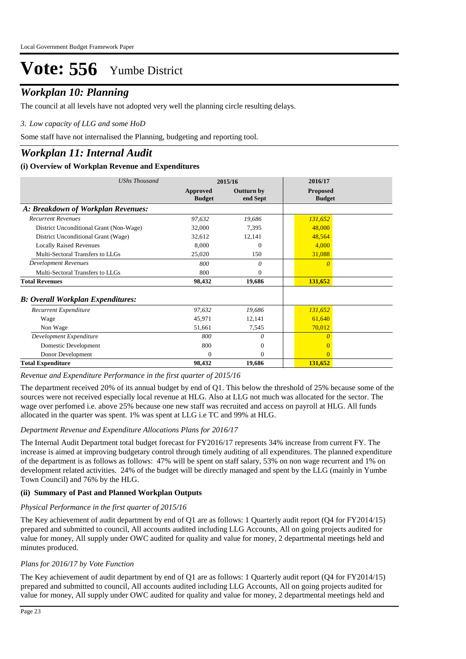## *Workplan 10: Planning*

The council at all levels have not adopted very well the planning circle resulting delays.

#### *Low capacity of LLG and some HoD 3.*

Some staff have not internalised the Planning, budgeting and reporting tool.

### *Workplan 11: Internal Audit*

#### **(i) Overview of Workplan Revenue and Expenditures**

| <b>UShs Thousand</b>                      |                           | 2015/16                | 2016/17                          |  |
|-------------------------------------------|---------------------------|------------------------|----------------------------------|--|
|                                           | Approved<br><b>Budget</b> | Outturn by<br>end Sept | <b>Proposed</b><br><b>Budget</b> |  |
| A: Breakdown of Workplan Revenues:        |                           |                        |                                  |  |
| <b>Recurrent Revenues</b>                 | 97,632                    | 19,686                 | 131,652                          |  |
| District Unconditional Grant (Non-Wage)   | 32,000                    | 7,395                  | 48,000                           |  |
| District Unconditional Grant (Wage)       | 32,612                    | 12,141                 | 48,564                           |  |
| <b>Locally Raised Revenues</b>            | 8,000                     | $^{(1)}$               | 4,000                            |  |
| Multi-Sectoral Transfers to LLGs          | 25,020                    | 150                    | 31,088                           |  |
| <b>Development Revenues</b>               | 800                       | 0                      | $\theta$                         |  |
| Multi-Sectoral Transfers to LLGs          | 800                       | 0                      |                                  |  |
| <b>Total Revenues</b>                     | 98,432                    | 19,686                 | 131,652                          |  |
| <b>B</b> : Overall Workplan Expenditures: |                           |                        |                                  |  |
| Recurrent Expenditure                     | 97,632                    | 19,686                 | 131,652                          |  |
| Wage                                      | 45,971                    | 12,141                 | 61,640                           |  |
| Non Wage                                  | 51,661                    | 7,545                  | 70,012                           |  |
| Development Expenditure                   | 800                       | $\theta$               | $\Omega$                         |  |
| Domestic Development                      | 800                       | $\mathbf{0}$           |                                  |  |
| Donor Development                         | $\Omega$                  | 0                      | $\Omega$                         |  |
| <b>Total Expenditure</b>                  | 98,432                    | 19,686                 | 131,652                          |  |

*Revenue and Expenditure Performance in the first quarter of 2015/16*

The department received 20% of its annual budget by end of Q1. This below the threshold of 25% because some of the sources were not received especially local revenue at HLG. Also at LLG not much was allocated for the sector. The wage over perfomed i.e. above 25% because one new staff was recruited and access on payroll at HLG. All funds allocated in the quarter was spent. 1% was spent at LLG i.e TC and 99% at HLG.

#### *Department Revenue and Expenditure Allocations Plans for 2016/17*

The Internal Audit Department total budget forecast for FY2016/17 represents 34% increase from current FY. The increase is aimed at improving budgetary control through timely auditing of all expenditures. The planned expenditure of the department is as follows as follows: 47% will be spent on staff salary, 53% on non wage recurrent and 1% on development related activities. 24% of the budget will be directly managed and spent by the LLG (mainly in Yumbe Town Council) and 76% by the HLG.

#### **(ii) Summary of Past and Planned Workplan Outputs**

#### *Physical Performance in the first quarter of 2015/16*

The Key achievement of audit department by end of Q1 are as follows: 1 Quarterly audit report (Q4 for FY2014/15) prepared and submitted to council, All accounts audited including LLG Accounts, All on going projects audited for value for money, All supply under OWC audited for quality and value for money, 2 departmental meetings held and minutes produced.

#### *Plans for 2016/17 by Vote Function*

The Key achievement of audit department by end of Q1 are as follows: 1 Quarterly audit report (Q4 for FY2014/15) prepared and submitted to council, All accounts audited including LLG Accounts, All on going projects audited for value for money, All supply under OWC audited for quality and value for money, 2 departmental meetings held and